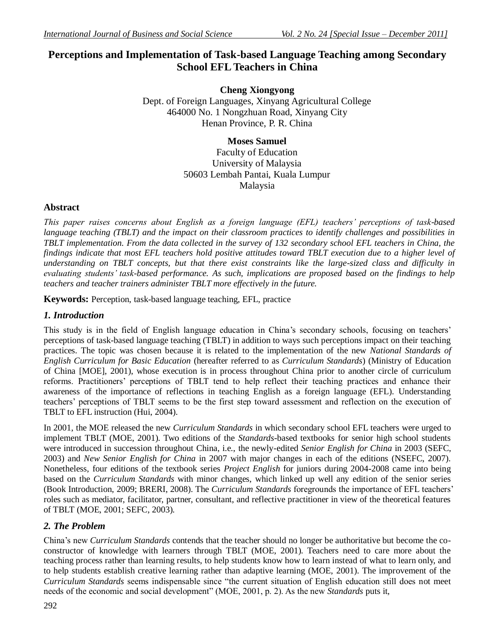# **Perceptions and Implementation of Task-based Language Teaching among Secondary School EFL Teachers in China**

**Cheng Xiongyong**  Dept. of Foreign Languages, Xinyang Agricultural College 464000 No. 1 Nongzhuan Road, Xinyang City Henan Province, P. R. China

> **Moses Samuel** Faculty of Education University of Malaysia 50603 Lembah Pantai, Kuala Lumpur Malaysia

## **Abstract**

*This paper raises concerns about English as a foreign language (EFL) teachers' perceptions of task-based language teaching (TBLT) and the impact on their classroom practices to identify challenges and possibilities in TBLT implementation. From the data collected in the survey of 132 secondary school EFL teachers in China, the findings indicate that most EFL teachers hold positive attitudes toward TBLT execution due to a higher level of understanding on TBLT concepts, but that there exist constraints like the large-sized class and difficulty in evaluating students' task-based performance. As such, implications are proposed based on the findings to help teachers and teacher trainers administer TBLT more effectively in the future.*

**Keywords:** Perception, task-based language teaching, EFL, practice

## *1. Introduction*

This study is in the field of English language education in China's secondary schools, focusing on teachers' perceptions of task-based language teaching (TBLT) in addition to ways such perceptions impact on their teaching practices. The topic was chosen because it is related to the implementation of the new *National Standards of English Curriculum for Basic Education* (hereafter referred to as *Curriculum Standards*) (Ministry of Education of China [MOE], 2001), whose execution is in process throughout China prior to another circle of curriculum reforms. Practitioners' perceptions of TBLT tend to help reflect their teaching practices and enhance their awareness of the importance of reflections in teaching English as a foreign language (EFL). Understanding teachers' perceptions of TBLT seems to be the first step toward assessment and reflection on the execution of TBLT to EFL instruction (Hui, 2004).

In 2001, the MOE released the new *Curriculum Standards* in which secondary school EFL teachers were urged to implement TBLT (MOE, 2001). Two editions of the *Standards*-based textbooks for senior high school students were introduced in succession throughout China, i.e., the newly-edited *Senior English for China* in 2003 (SEFC, 2003) and *New Senior English for China* in 2007 with major changes in each of the editions (NSEFC, 2007). Nonetheless, four editions of the textbook series *Project English* for juniors during 2004-2008 came into being based on the *Curriculum Standards* with minor changes, which linked up well any edition of the senior series (Book Introduction, 2009; BRERI, 2008). The *Curriculum Standards* foregrounds the importance of EFL teachers' roles such as mediator, facilitator, partner, consultant, and reflective practitioner in view of the theoretical features of TBLT (MOE, 2001; SEFC, 2003).

## *2. The Problem*

China's new *Curriculum Standards* contends that the teacher should no longer be authoritative but become the coconstructor of knowledge with learners through TBLT (MOE, 2001). Teachers need to care more about the teaching process rather than learning results, to help students know how to learn instead of what to learn only, and to help students establish creative learning rather than adaptive learning (MOE, 2001). The improvement of the *Curriculum Standards* seems indispensable since "the current situation of English education still does not meet needs of the economic and social development" (MOE, 2001, p. 2). As the new *Standards* puts it,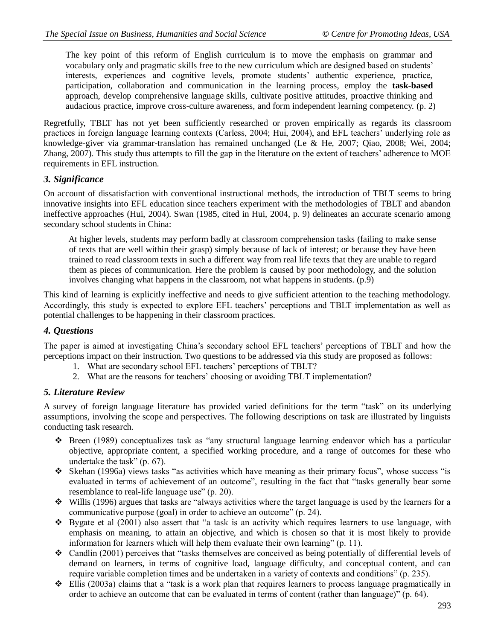The key point of this reform of English curriculum is to move the emphasis on grammar and vocabulary only and pragmatic skills free to the new curriculum which are designed based on students' interests, experiences and cognitive levels, promote students' authentic experience, practice, participation, collaboration and communication in the learning process, employ the **task-based** approach, develop comprehensive language skills, cultivate positive attitudes, proactive thinking and audacious practice, improve cross-culture awareness, and form independent learning competency. (p. 2)

Regretfully, TBLT has not yet been sufficiently researched or proven empirically as regards its classroom practices in foreign language learning contexts (Carless, 2004; Hui, 2004), and EFL teachers' underlying role as knowledge-giver via grammar-translation has remained unchanged (Le & He, 2007; Qiao, 2008; Wei, 2004; Zhang, 2007). This study thus attempts to fill the gap in the literature on the extent of teachers' adherence to MOE requirements in EFL instruction.

## *3. Significance*

On account of dissatisfaction with conventional instructional methods, the introduction of TBLT seems to bring innovative insights into EFL education since teachers experiment with the methodologies of TBLT and abandon ineffective approaches (Hui, 2004). Swan (1985, cited in Hui, 2004, p. 9) delineates an accurate scenario among secondary school students in China:

At higher levels, students may perform badly at classroom comprehension tasks (failing to make sense of texts that are well within their grasp) simply because of lack of interest; or because they have been trained to read classroom texts in such a different way from real life texts that they are unable to regard them as pieces of communication. Here the problem is caused by poor methodology, and the solution involves changing what happens in the classroom, not what happens in students. (p.9)

This kind of learning is explicitly ineffective and needs to give sufficient attention to the teaching methodology. Accordingly, this study is expected to explore EFL teachers' perceptions and TBLT implementation as well as potential challenges to be happening in their classroom practices.

## *4. Questions*

The paper is aimed at investigating China's secondary school EFL teachers' perceptions of TBLT and how the perceptions impact on their instruction. Two questions to be addressed via this study are proposed as follows:

- 1. What are secondary school EFL teachers' perceptions of TBLT?
- 2. What are the reasons for teachers' choosing or avoiding TBLT implementation?

### *5. Literature Review*

A survey of foreign language literature has provided varied definitions for the term "task" on its underlying assumptions, involving the scope and perspectives. The following descriptions on task are illustrated by linguists conducting task research.

- $\div$  Breen (1989) conceptualizes task as "any structural language learning endeavor which has a particular objective, appropriate content, a specified working procedure, and a range of outcomes for these who undertake the task" (p. 67).
- Skehan (1996a) views tasks "as activities which have meaning as their primary focus", whose success "is evaluated in terms of achievement of an outcome", resulting in the fact that "tasks generally bear some resemblance to real-life language use" (p. 20).
- Willis (1996) argues that tasks are "always activities where the target language is used by the learners for a communicative purpose (goal) in order to achieve an outcome" (p. 24).
- $\cdot \cdot$  Bygate et al (2001) also assert that "a task is an activity which requires learners to use language, with emphasis on meaning, to attain an objective, and which is chosen so that it is most likely to provide information for learners which will help them evaluate their own learning" (p. 11).
- $\div$  Candlin (2001) perceives that "tasks themselves are conceived as being potentially of differential levels of demand on learners, in terms of cognitive load, language difficulty, and conceptual content, and can require variable completion times and be undertaken in a variety of contexts and conditions" (p. 235).
- $\cdot \cdot$  Ellis (2003a) claims that a "task is a work plan that requires learners to process language pragmatically in order to achieve an outcome that can be evaluated in terms of content (rather than language)" (p. 64).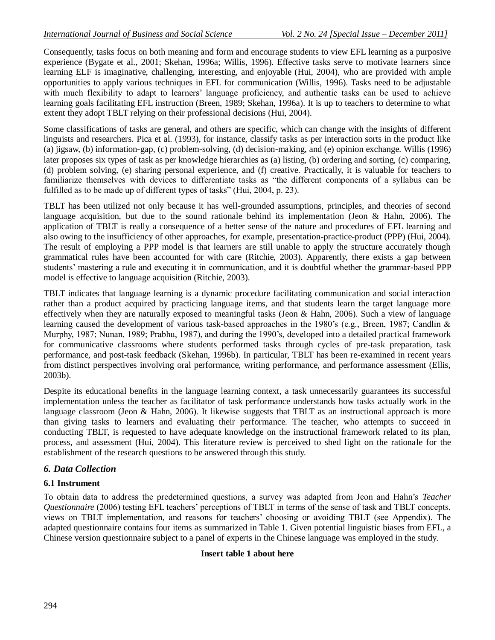Consequently, tasks focus on both meaning and form and encourage students to view EFL learning as a purposive experience (Bygate et al., 2001; Skehan, 1996a; Willis, 1996). Effective tasks serve to motivate learners since learning ELF is imaginative, challenging, interesting, and enjoyable (Hui, 2004), who are provided with ample opportunities to apply various techniques in EFL for communication (Willis, 1996). Tasks need to be adjustable with much flexibility to adapt to learners' language proficiency, and authentic tasks can be used to achieve learning goals facilitating EFL instruction (Breen, 1989; Skehan, 1996a). It is up to teachers to determine to what extent they adopt TBLT relying on their professional decisions (Hui, 2004).

Some classifications of tasks are general, and others are specific, which can change with the insights of different linguists and researchers. Pica et al. (1993), for instance, classify tasks as per interaction sorts in the product like (a) jigsaw, (b) information-gap, (c) problem-solving, (d) decision-making, and (e) opinion exchange. Willis (1996) later proposes six types of task as per knowledge hierarchies as (a) listing, (b) ordering and sorting, (c) comparing, (d) problem solving, (e) sharing personal experience, and (f) creative. Practically, it is valuable for teachers to familiarize themselves with devices to differentiate tasks as "the different components of a syllabus can be fulfilled as to be made up of different types of tasks" (Hui, 2004, p. 23).

TBLT has been utilized not only because it has well-grounded assumptions, principles, and theories of second language acquisition, but due to the sound rationale behind its implementation (Jeon & Hahn, 2006). The application of TBLT is really a consequence of a better sense of the nature and procedures of EFL learning and also owing to the insufficiency of other approaches, for example, presentation-practice-product (PPP) (Hui, 2004). The result of employing a PPP model is that learners are still unable to apply the structure accurately though grammatical rules have been accounted for with care (Ritchie, 2003). Apparently, there exists a gap between students' mastering a rule and executing it in communication, and it is doubtful whether the grammar-based PPP model is effective to language acquisition (Ritchie, 2003).

TBLT indicates that language learning is a dynamic procedure facilitating communication and social interaction rather than a product acquired by practicing language items, and that students learn the target language more effectively when they are naturally exposed to meaningful tasks (Jeon & Hahn, 2006). Such a view of language learning caused the development of various task-based approaches in the 1980's (e.g., Breen, 1987; Candlin & Murphy, 1987; Nunan, 1989; Prabhu, 1987), and during the 1990's, developed into a detailed practical framework for communicative classrooms where students performed tasks through cycles of pre-task preparation, task performance, and post-task feedback (Skehan, 1996b). In particular, TBLT has been re-examined in recent years from distinct perspectives involving oral performance, writing performance, and performance assessment (Ellis, 2003b).

Despite its educational benefits in the language learning context, a task unnecessarily guarantees its successful implementation unless the teacher as facilitator of task performance understands how tasks actually work in the language classroom (Jeon & Hahn, 2006). It likewise suggests that TBLT as an instructional approach is more than giving tasks to learners and evaluating their performance. The teacher, who attempts to succeed in conducting TBLT, is requested to have adequate knowledge on the instructional framework related to its plan, process, and assessment (Hui, 2004). This literature review is perceived to shed light on the rationale for the establishment of the research questions to be answered through this study.

## *6. Data Collection*

### **6.1 Instrument**

To obtain data to address the predetermined questions, a survey was adapted from Jeon and Hahn's *Teacher Questionnaire* (2006) testing EFL teachers' perceptions of TBLT in terms of the sense of task and TBLT concepts, views on TBLT implementation, and reasons for teachers' choosing or avoiding TBLT (see Appendix). The adapted questionnaire contains four items as summarized in Table 1. Given potential linguistic biases from EFL, a Chinese version questionnaire subject to a panel of experts in the Chinese language was employed in the study.

#### **Insert table 1 about here**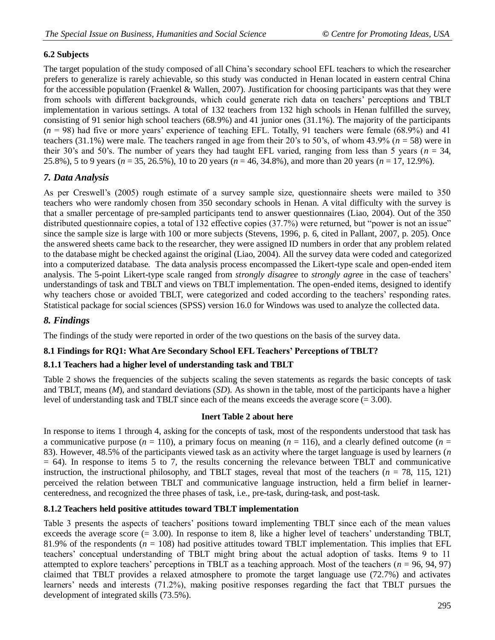## **6.2 Subjects**

The target population of the study composed of all China's secondary school EFL teachers to which the researcher prefers to generalize is rarely achievable, so this study was conducted in Henan located in eastern central China for the accessible population (Fraenkel & Wallen, 2007). Justification for choosing participants was that they were from schools with different backgrounds, which could generate rich data on teachers' perceptions and TBLT implementation in various settings. A total of 132 teachers from 132 high schools in Henan fulfilled the survey, consisting of 91 senior high school teachers (68.9%) and 41 junior ones (31.1%). The majority of the participants  $(n = 98)$  had five or more years' experience of teaching EFL. Totally, 91 teachers were female (68.9%) and 41 teachers (31.1%) were male. The teachers ranged in age from their 20's to 50's, of whom 43.9% ( $n = 58$ ) were in their 30's and 50's. The number of years they had taught EFL varied, ranging from less than 5 years ( $n = 34$ , 25.8%), 5 to 9 years (*n* = 35, 26.5%), 10 to 20 years (*n* = 46, 34.8%), and more than 20 years (*n* = 17, 12.9%).

## *7. Data Analysis*

As per Creswell's (2005) rough estimate of a survey sample size, questionnaire sheets were mailed to 350 teachers who were randomly chosen from 350 secondary schools in Henan. A vital difficulty with the survey is that a smaller percentage of pre-sampled participants tend to answer questionnaires (Liao, 2004). Out of the 350 distributed questionnaire copies, a total of 132 effective copies (37.7%) were returned, but "power is not an issue" since the sample size is large with 100 or more subjects (Stevens, 1996, p. 6, cited in Pallant, 2007, p. 205). Once the answered sheets came back to the researcher, they were assigned ID numbers in order that any problem related to the database might be checked against the original (Liao, 2004). All the survey data were coded and categorized into a computerized database. The data analysis process encompassed the Likert-type scale and open-ended item analysis. The 5-point Likert-type scale ranged from *strongly disagree* to *strongly agree* in the case of teachers' understandings of task and TBLT and views on TBLT implementation. The open-ended items, designed to identify why teachers chose or avoided TBLT, were categorized and coded according to the teachers' responding rates. Statistical package for social sciences (SPSS) version 16.0 for Windows was used to analyze the collected data.

### *8. Findings*

The findings of the study were reported in order of the two questions on the basis of the survey data.

### **8.1 Findings for RQ1: What Are Secondary School EFL Teachers' Perceptions of TBLT?**

### **8.1.1 Teachers had a higher level of understanding task and TBLT**

Table 2 shows the frequencies of the subjects scaling the seven statements as regards the basic concepts of task and TBLT, means (*M*), and standard deviations (*SD*). As shown in the table, most of the participants have a higher level of understanding task and TBLT since each of the means exceeds the average score (= 3.00).

#### **Inert Table 2 about here**

In response to items 1 through 4, asking for the concepts of task, most of the respondents understood that task has a communicative purpose  $(n = 110)$ , a primary focus on meaning  $(n = 116)$ , and a clearly defined outcome  $(n = 110)$ 83). However, 48.5% of the participants viewed task as an activity where the target language is used by learners (*n*  $= 64$ ). In response to items 5 to 7, the results concerning the relevance between TBLT and communicative instruction, the instructional philosophy, and TBLT stages, reveal that most of the teachers ( $n = 78$ , 115, 121) perceived the relation between TBLT and communicative language instruction, held a firm belief in learnercenteredness, and recognized the three phases of task, i.e., pre-task, during-task, and post-task.

### **8.1.2 Teachers held positive attitudes toward TBLT implementation**

Table 3 presents the aspects of teachers' positions toward implementing TBLT since each of the mean values exceeds the average score (= 3.00). In response to item 8, like a higher level of teachers' understanding TBLT, 81.9% of the respondents ( $n = 108$ ) had positive attitudes toward TBLT implementation. This implies that EFL teachers' conceptual understanding of TBLT might bring about the actual adoption of tasks. Items 9 to 11 attempted to explore teachers' perceptions in TBLT as a teaching approach. Most of the teachers  $(n = 96, 94, 97)$ claimed that TBLT provides a relaxed atmosphere to promote the target language use (72.7%) and activates learners' needs and interests (71.2%), making positive responses regarding the fact that TBLT pursues the development of integrated skills (73.5%).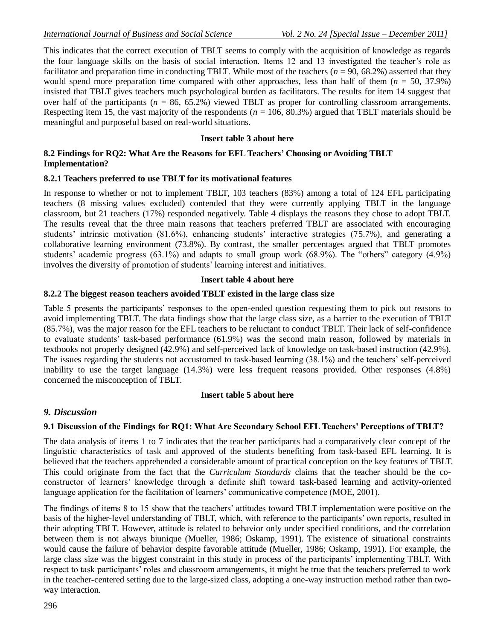This indicates that the correct execution of TBLT seems to comply with the acquisition of knowledge as regards the four language skills on the basis of social interaction. Items 12 and 13 investigated the teacher's role as facilitator and preparation time in conducting TBLT. While most of the teachers ( $n = 90, 68.2\%$ ) asserted that they would spend more preparation time compared with other approaches, less than half of them (*n* = 50, 37.9%) insisted that TBLT gives teachers much psychological burden as facilitators. The results for item 14 suggest that over half of the participants ( $n = 86, 65.2\%$ ) viewed TBLT as proper for controlling classroom arrangements. Respecting item 15, the vast majority of the respondents ( $n = 106$ , 80.3%) argued that TBLT materials should be meaningful and purposeful based on real-world situations.

### **Insert table 3 about here**

#### **8.2 Findings for RQ2: What Are the Reasons for EFL Teachers' Choosing or Avoiding TBLT Implementation?**

#### **8.2.1 Teachers preferred to use TBLT for its motivational features**

In response to whether or not to implement TBLT, 103 teachers (83%) among a total of 124 EFL participating teachers (8 missing values excluded) contended that they were currently applying TBLT in the language classroom, but 21 teachers (17%) responded negatively. Table 4 displays the reasons they chose to adopt TBLT. The results reveal that the three main reasons that teachers preferred TBLT are associated with encouraging students' intrinsic motivation (81.6%), enhancing students' interactive strategies (75.7%), and generating a collaborative learning environment (73.8%). By contrast, the smaller percentages argued that TBLT promotes students' academic progress (63.1%) and adapts to small group work (68.9%). The "others" category (4.9%) involves the diversity of promotion of students' learning interest and initiatives.

#### **Insert table 4 about here**

#### **8.2.2 The biggest reason teachers avoided TBLT existed in the large class size**

Table 5 presents the participants' responses to the open-ended question requesting them to pick out reasons to avoid implementing TBLT. The data findings show that the large class size, as a barrier to the execution of TBLT (85.7%), was the major reason for the EFL teachers to be reluctant to conduct TBLT. Their lack of self-confidence to evaluate students' task-based performance (61.9%) was the second main reason, followed by materials in textbooks not properly designed (42.9%) and self-perceived lack of knowledge on task-based instruction (42.9%). The issues regarding the students not accustomed to task-based learning (38.1%) and the teachers' self-perceived inability to use the target language (14.3%) were less frequent reasons provided. Other responses (4.8%) concerned the misconception of TBLT.

### **Insert table 5 about here**

### *9. Discussion*

### **9.1 Discussion of the Findings for RQ1: What Are Secondary School EFL Teachers' Perceptions of TBLT?**

The data analysis of items 1 to 7 indicates that the teacher participants had a comparatively clear concept of the linguistic characteristics of task and approved of the students benefiting from task-based EFL learning. It is believed that the teachers apprehended a considerable amount of practical conception on the key features of TBLT. This could originate from the fact that the *Curriculum Standards* claims that the teacher should be the coconstructor of learners' knowledge through a definite shift toward task-based learning and activity-oriented language application for the facilitation of learners' communicative competence (MOE, 2001).

The findings of items 8 to 15 show that the teachers' attitudes toward TBLT implementation were positive on the basis of the higher-level understanding of TBLT, which, with reference to the participants' own reports, resulted in their adopting TBLT. However, attitude is related to behavior only under specified conditions, and the correlation between them is not always biunique (Mueller, 1986; Oskamp, 1991). The existence of situational constraints would cause the failure of behavior despite favorable attitude (Mueller, 1986; Oskamp, 1991). For example, the large class size was the biggest constraint in this study in process of the participants' implementing TBLT. With respect to task participants' roles and classroom arrangements, it might be true that the teachers preferred to work in the teacher-centered setting due to the large-sized class, adopting a one-way instruction method rather than twoway interaction.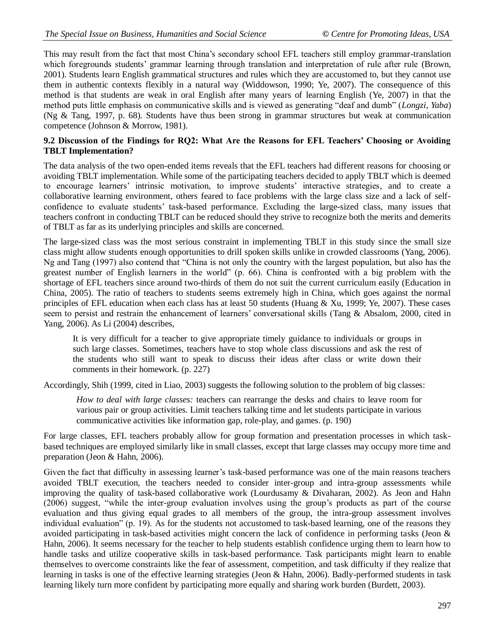This may result from the fact that most China's secondary school EFL teachers still employ grammar-translation which foregrounds students' grammar learning through translation and interpretation of rule after rule (Brown, 2001). Students learn English grammatical structures and rules which they are accustomed to, but they cannot use them in authentic contexts flexibly in a natural way (Widdowson, 1990; Ye, 2007). The consequence of this method is that students are weak in oral English after many years of learning English (Ye, 2007) in that the method puts little emphasis on communicative skills and is viewed as generating "deaf and dumb" (*Longzi*, *Yaba*) (Ng & Tang, 1997, p. 68). Students have thus been strong in grammar structures but weak at communication competence (Johnson & Morrow, 1981).

#### **9.2 Discussion of the Findings for RQ2: What Are the Reasons for EFL Teachers' Choosing or Avoiding TBLT Implementation?**

The data analysis of the two open-ended items reveals that the EFL teachers had different reasons for choosing or avoiding TBLT implementation. While some of the participating teachers decided to apply TBLT which is deemed to encourage learners' intrinsic motivation, to improve students' interactive strategies, and to create a collaborative learning environment, others feared to face problems with the large class size and a lack of selfconfidence to evaluate students' task-based performance. Excluding the large-sized class, many issues that teachers confront in conducting TBLT can be reduced should they strive to recognize both the merits and demerits of TBLT as far as its underlying principles and skills are concerned.

The large-sized class was the most serious constraint in implementing TBLT in this study since the small size class might allow students enough opportunities to drill spoken skills unlike in crowded classrooms (Yang, 2006). Ng and Tang (1997) also contend that "China is not only the country with the largest population, but also has the greatest number of English learners in the world" (p. 66). China is confronted with a big problem with the shortage of EFL teachers since around two-thirds of them do not suit the current curriculum easily (Education in China, 2005). The ratio of teachers to students seems extremely high in China, which goes against the normal principles of EFL education when each class has at least 50 students (Huang & Xu, 1999; Ye, 2007). These cases seem to persist and restrain the enhancement of learners' conversational skills (Tang & Absalom, 2000, cited in Yang, 2006). As Li (2004) describes,

It is very difficult for a teacher to give appropriate timely guidance to individuals or groups in such large classes. Sometimes, teachers have to stop whole class discussions and ask the rest of the students who still want to speak to discuss their ideas after class or write down their comments in their homework. (p. 227)

Accordingly, Shih (1999, cited in Liao, 2003) suggests the following solution to the problem of big classes:

*How to deal with large classes:* teachers can rearrange the desks and chairs to leave room for various pair or group activities. Limit teachers talking time and let students participate in various communicative activities like information gap, role-play, and games. (p. 190)

For large classes, EFL teachers probably allow for group formation and presentation processes in which taskbased techniques are employed similarly like in small classes, except that large classes may occupy more time and preparation (Jeon & Hahn, 2006).

Given the fact that difficulty in assessing learner's task-based performance was one of the main reasons teachers avoided TBLT execution, the teachers needed to consider inter-group and intra-group assessments while improving the quality of task-based collaborative work (Lourdusamy & Divaharan, 2002). As Jeon and Hahn (2006) suggest, "while the inter-group evaluation involves using the group's products as part of the course evaluation and thus giving equal grades to all members of the group, the intra-group assessment involves individual evaluation" (p. 19). As for the students not accustomed to task-based learning, one of the reasons they avoided participating in task-based activities might concern the lack of confidence in performing tasks (Jeon & Hahn, 2006). It seems necessary for the teacher to help students establish confidence urging them to learn how to handle tasks and utilize cooperative skills in task-based performance. Task participants might learn to enable themselves to overcome constraints like the fear of assessment, competition, and task difficulty if they realize that learning in tasks is one of the effective learning strategies (Jeon & Hahn, 2006). Badly-performed students in task learning likely turn more confident by participating more equally and sharing work burden (Burdett, 2003).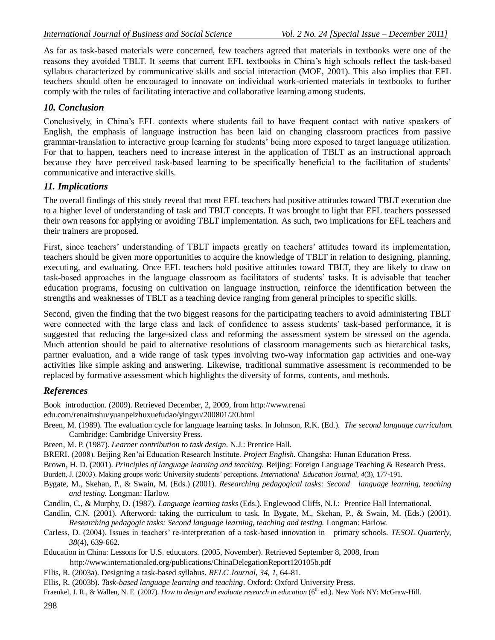As far as task-based materials were concerned, few teachers agreed that materials in textbooks were one of the reasons they avoided TBLT. It seems that current EFL textbooks in China's high schools reflect the task-based syllabus characterized by communicative skills and social interaction (MOE, 2001). This also implies that EFL teachers should often be encouraged to innovate on individual work-oriented materials in textbooks to further comply with the rules of facilitating interactive and collaborative learning among students.

### *10. Conclusion*

Conclusively, in China's EFL contexts where students fail to have frequent contact with native speakers of English, the emphasis of language instruction has been laid on changing classroom practices from passive grammar-translation to interactive group learning for students' being more exposed to target language utilization. For that to happen, teachers need to increase interest in the application of TBLT as an instructional approach because they have perceived task-based learning to be specifically beneficial to the facilitation of students' communicative and interactive skills.

## *11. Implications*

The overall findings of this study reveal that most EFL teachers had positive attitudes toward TBLT execution due to a higher level of understanding of task and TBLT concepts. It was brought to light that EFL teachers possessed their own reasons for applying or avoiding TBLT implementation. As such, two implications for EFL teachers and their trainers are proposed.

First, since teachers' understanding of TBLT impacts greatly on teachers' attitudes toward its implementation, teachers should be given more opportunities to acquire the knowledge of TBLT in relation to designing, planning, executing, and evaluating. Once EFL teachers hold positive attitudes toward TBLT, they are likely to draw on task-based approaches in the language classroom as facilitators of students' tasks. It is advisable that teacher education programs, focusing on cultivation on language instruction, reinforce the identification between the strengths and weaknesses of TBLT as a teaching device ranging from general principles to specific skills.

Second, given the finding that the two biggest reasons for the participating teachers to avoid administering TBLT were connected with the large class and lack of confidence to assess students' task-based performance, it is suggested that reducing the large-sized class and reforming the assessment system be stressed on the agenda. Much attention should be paid to alternative resolutions of classroom managements such as hierarchical tasks, partner evaluation, and a wide range of task types involving two-way information gap activities and one-way activities like simple asking and answering. Likewise, traditional summative assessment is recommended to be replaced by formative assessment which highlights the diversity of forms, contents, and methods.

## *References*

Book introduction. (2009). Retrieved December, 2, 2009, from [http://www.renai](http://www.renai/)

edu.com/renaitushu/yuanpeizhuxuefudao/yingyu/200801/20.html

- Breen, M. (1989). The evaluation cycle for language learning tasks. In Johnson, R.K. (Ed.). *The second language curriculum.*  Cambridge: Cambridge University Press.
- Breen, M. P. (1987). *Learner contribution to task design*. N.J.: Prentice Hall.

BRERI. (2008). Beijing Ren'ai Education Research Institute. *Project English.* Changsha: Hunan Education Press.

Brown, H. D. (2001). *Principles of language learning and teaching.* Beijing: Foreign Language Teaching & Research Press.

Burdett, J. (2003). Making groups work: University students' perceptions. *International Education Journal, 4*(3), 177-191.

Bygate, M., Skehan, P., & Swain, M. (Eds.) (2001). *Researching pedagogical tasks: Second language learning, teaching and testing.* Longman: Harlow.

Candlin, C., & Murphy, D. (1987). *Language learning tasks* (Eds.). Englewood Cliffs, N.J.: Prentice Hall International.

Candlin, C.N. (2001). Afterword: taking the curriculum to task. In Bygate, M., Skehan, P., & Swain, M. (Eds.) (2001). *Researching pedagogic tasks: Second language learning, teaching and testing.* Longman: Harlow.

Carless, D. (2004). Issues in teachers' re-interpretation of a task-based innovation in primary schools. *TESOL Quarterly, 38*(4), 639-662.

Education in China: Lessons for U.S. educators*.* (2005, November). Retrieved September 8, 2008, from <http://www.internationaled.org/publications/ChinaDelegationReport120105b.pdf>

Ellis, R. (2003a). Designing a task-based syllabus. *RELC Journal, 34, 1,* 64-81.

Ellis, R. (2003b). *Task-based language learning and teaching*. Oxford: Oxford University Press.

Fraenkel, J. R., & Wallen, N. E. (2007). *How to design and evaluate research in education* (6<sup>th</sup> ed.). New York NY: McGraw-Hill.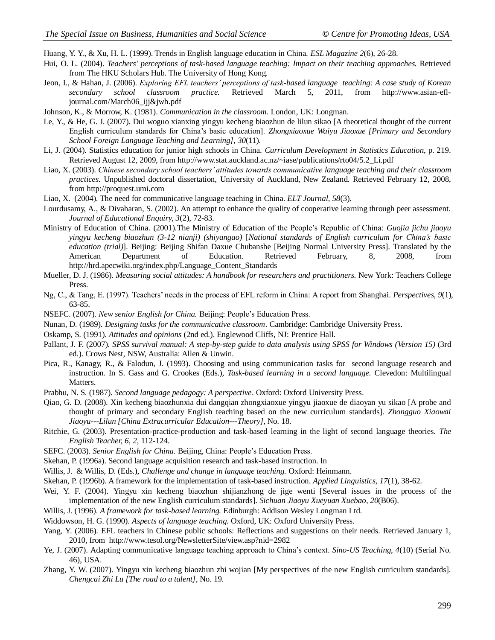Huang, Y. Y., & Xu, H. L. (1999). Trends in English language education in China. *ESL Magazine 2*(6), 26-28.

- Hui, O. L. (2004). *Teachers' perceptions of task-based language teaching: Impact on their teaching approaches.* Retrieved from The HKU Scholars Hub. The University of Hong Kong.
- Jeon, I., & Hahan, J. (2006). *Exploring EFL teachers' perceptions of task-based language teaching: A case study of Korean secondary school classroom practice.* Retrieved March 5, 2011, from [http://www.asian-efl](http://www.asian-efl-journal.com/March06_ijj&jwh.pdf)[journal.com/March06\\_ijj&jwh.pdf](http://www.asian-efl-journal.com/March06_ijj&jwh.pdf)
- Johnson, K., & Morrow, K. (1981). *Communication in the classroom*. London, UK: Longman.
- Le, Y., & He, G. J. (2007). Dui woguo xianxing yingyu kecheng biaozhun de lilun sikao [A theoretical thought of the current English curriculum standards for China's basic education]. *Zhongxiaoxue Waiyu Jiaoxue [Primary and Secondary School Foreign Language Teaching and Learning]*, *30*(11).
- Li, J. (2004). Statistics education for junior high schools in China. *Curriculum Development in Statistics Education*, p. 219. Retrieved August 12, 2009, from [http://www.stat.auckland.ac.nz/~iase/publications/rto04/5.2\\_Li.pdf](http://www.stat.auckland.ac.nz/~iase/publications/rto04/5.2_Li.pdf)
- Liao, X. (2003). *Chinese secondary school teachers' attitudes towards communicative language teaching and their classroom practices.* Unpublished doctoral dissertation, University of Auckland, New Zealand. Retrieved February 12, 2008, from [http://proquest.umi.com](http://proquest.umi.com/)
- Liao, X. (2004). The need for communicative language teaching in China. *ELT Journal*, *58*(3).
- Lourdusamy, A., & Divaharan, S. (2002). An attempt to enhance the quality of cooperative learning through peer assessment. *Journal of Educational Enquiry, 3*(2), 72-83.
- Ministry of Education of China. (2001).The Ministry of Education of the People's Republic of China: *Guojia jichu jiaoyu yingyu kecheng biaozhun (3-12 nianji) (shiyangao)* [*National standards of English curriculum for China's basic education (trial)*]. Beijing: Beijing Shifan Daxue Chubanshe [Beijing Normal University Press]. Translated by the American Department of Education. Retrieved February, 8, 2008, from [http://hrd.apecwiki.org/index.php/Language\\_Content\\_Standards](http://hrd.apecwiki.org/index.php/Language_Content_Standards)
- Mueller, D. J. (1986). *Measuring social attitudes: A handbook for researchers and practitioners.* New York: Teachers College Press.
- Ng, C., & Tang, E. (1997). Teachers' needs in the process of EFL reform in China: A report from Shanghai. *Perspectives*, *9*(1), 63-85.
- NSEFC. (2007). *New senior English for China.* Beijing: People's Education Press.
- Nunan, D. (1989). *Designing tasks for the communicative classroom*. Cambridge: Cambridge University Press.
- Oskamp, S. (1991). *Attitudes and opinions* (2nd ed.). Englewood Cliffs, NJ: Prentice Hall.
- Pallant, J. F. (2007). *SPSS survival manual: A step-by-step guide to data analysis using SPSS for Windows (Version 15)* (3rd ed.). Crows Nest, NSW, Australia: Allen & Unwin.
- Pica, R., Kanagy, R., & Falodun, J. (1993). Choosing and using communication tasks for second language research and instruction. In S. Gass and G. Crookes (Eds.), *Task-based learning in a second language.* Clevedon: Multilingual Matters.
- Prabhu, N. S. (1987). *Second language pedagogy: A perspective*. Oxford: Oxford University Press.
- Qiao, G. D. (2008). Xin kecheng biaozhunxia dui dangqian zhongxiaoxue yingyu jiaoxue de diaoyan yu sikao [A probe and thought of primary and secondary English teaching based on the new curriculum standards]. *Zhongguo Xiaowai Jiaoyu---Lilun [China Extracurricular Education---Theory]*, No. 18.
- Ritchie, G. (2003). Presentation-practice-production and task-based learning in the light of second language theories. *The English Teacher, 6, 2,* 112-124.
- SEFC. (2003). *Senior English for China.* Beijing, China: People's Education Press.
- Skehan, P. (1996a). Second language acquisition research and task-based instruction. In
- Willis, J. & Willis, D. (Eds.), *Challenge and change in language teaching.* Oxford: Heinmann.
- Skehan, P. (1996b). A framework for the implementation of task-based instruction. *Applied Linguistics, 17*(1), 38-62.
- Wei, Y. F. (2004). Yingyu xin kecheng biaozhun shijianzhong de jige wenti [Several issues in the process of the implementation of the new English curriculum standards]. *Sichuan Jiaoyu Xueyuan Xuebao*, *20*(B06).
- Willis, J. (1996). *A framework for task-based learning.* Edinburgh: Addison Wesley Longman Ltd.
- Widdowson, H. G. (1990). *Aspects of language teaching.* Oxford, UK: Oxford University Press.
- Yang, Y. (2006). EFL teachers in Chinese public schools: Reflections and suggestions on their needs. Retrieved January 1, 2010, from <http://www.tesol.org/NewsletterSite/view.asp?nid=2982>
- Ye, J. (2007). Adapting communicative language teaching approach to China's context. *Sino-US Teaching*, *4*(10) (Serial No. 46), USA.
- Zhang, Y. W. (2007). Yingyu xin kecheng biaozhun zhi wojian [My perspectives of the new English curriculum standards]. *Chengcai Zhi Lu [The road to a talent]*, No. 19.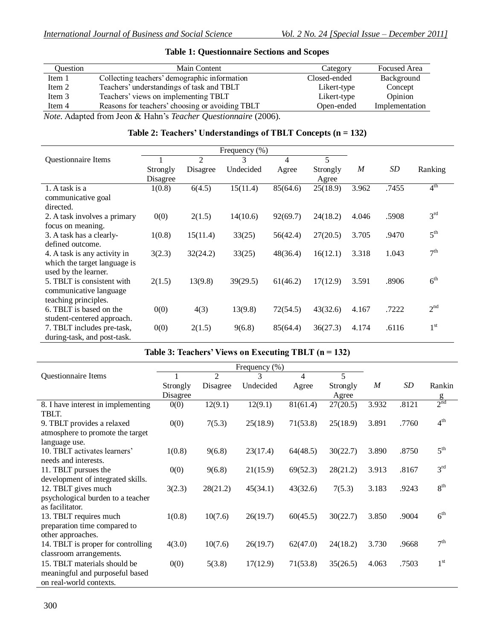| Question | Main Content                                                 | Category     | <b>Focused Area</b> |
|----------|--------------------------------------------------------------|--------------|---------------------|
| Item 1   | Collecting teachers' demographic information                 | Closed-ended | Background          |
| Item 2   | Teachers' understandings of task and TBLT                    | Likert-type  | Concept             |
| Item 3   | Teachers' views on implementing TBLT                         | Likert-type  | Opinion             |
| Item 4   | Reasons for teachers' choosing or avoiding TBLT              | Open-ended   | Implementation      |
|          | Note Adopted from Leon & Hobn's Teacher Questionnaire (2006) |              |                     |

## **Table 1: Questionnaire Sections and Scopes**

*Note.* Adapted from Jeon & Hahn's *Teacher Questionnaire* (2006).

## **Table 2: Teachers' Understandings of TBLT Concepts (n = 132)**

| Frequency $(\% )$            |          |                |           |          |          |       |       |                 |
|------------------------------|----------|----------------|-----------|----------|----------|-------|-------|-----------------|
| Questionnaire Items          |          | $\overline{2}$ | 3         | 4        | 5        |       |       |                 |
|                              | Strongly | Disagree       | Undecided | Agree    | Strongly | M     | SD    | Ranking         |
|                              | Disagree |                |           |          | Agree    |       |       |                 |
| 1. A task is a               | 1(0.8)   | 6(4.5)         | 15(11.4)  | 85(64.6) | 25(18.9) | 3.962 | .7455 | 4 <sup>th</sup> |
| communicative goal           |          |                |           |          |          |       |       |                 |
| directed.                    |          |                |           |          |          |       |       |                 |
| 2. A task involves a primary | 0(0)     | 2(1.5)         | 14(10.6)  | 92(69.7) | 24(18.2) | 4.046 | .5908 | 3 <sup>rd</sup> |
| focus on meaning.            |          |                |           |          |          |       |       |                 |
| 3. A task has a clearly-     | 1(0.8)   | 15(11.4)       | 33(25)    | 56(42.4) | 27(20.5) | 3.705 | .9470 | 5 <sup>th</sup> |
| defined outcome.             |          |                |           |          |          |       |       |                 |
| 4. A task is any activity in | 3(2.3)   | 32(24.2)       | 33(25)    | 48(36.4) | 16(12.1) | 3.318 | 1.043 | 7 <sup>th</sup> |
| which the target language is |          |                |           |          |          |       |       |                 |
| used by the learner.         |          |                |           |          |          |       |       |                 |
| 5. TBLT is consistent with   | 2(1.5)   | 13(9.8)        | 39(29.5)  | 61(46.2) | 17(12.9) | 3.591 | .8906 | 6 <sup>th</sup> |
| communicative language       |          |                |           |          |          |       |       |                 |
| teaching principles.         |          |                |           |          |          |       |       |                 |
| 6. TBLT is based on the      | 0(0)     | 4(3)           | 13(9.8)   | 72(54.5) | 43(32.6) | 4.167 | .7222 | 2 <sup>nd</sup> |
| student-centered approach.   |          |                |           |          |          |       |       |                 |
| 7. TBLT includes pre-task,   | 0(0)     | 2(1.5)         | 9(6.8)    | 85(64.4) | 36(27.3) | 4.174 | .6116 | 1 <sup>st</sup> |
| during-task, and post-task.  |          |                |           |          |          |       |       |                 |

| Frequency (%)                      |          |          |           |          |          |       |       |                 |
|------------------------------------|----------|----------|-----------|----------|----------|-------|-------|-----------------|
| Questionnaire Items                |          | 2        | 3         | 4        | 5        |       |       |                 |
|                                    | Strongly | Disagree | Undecided | Agree    | Strongly | M     | SD    | Rankin          |
|                                    | Disagree |          |           |          | Agree    |       |       | $\mathbf{g}$    |
| 8. I have interest in implementing | 0(0)     | 12(9.1)  | 12(9.1)   | 81(61.4) | 27(20.5) | 3.932 | .8121 | 2 <sup>nd</sup> |
| TBLT.                              |          |          |           |          |          |       |       |                 |
| 9. TBLT provides a relaxed         | 0(0)     | 7(5.3)   | 25(18.9)  | 71(53.8) | 25(18.9) | 3.891 | .7760 | 4 <sup>th</sup> |
| atmosphere to promote the target   |          |          |           |          |          |       |       |                 |
| language use.                      |          |          |           |          |          |       |       |                 |
| 10. TBLT activates learners'       | 1(0.8)   | 9(6.8)   | 23(17.4)  | 64(48.5) | 30(22.7) | 3.890 | .8750 | 5 <sup>th</sup> |
| needs and interests.               |          |          |           |          |          |       |       |                 |
| 11. TBLT pursues the               | 0(0)     | 9(6.8)   | 21(15.9)  | 69(52.3) | 28(21.2) | 3.913 | .8167 | 3 <sup>rd</sup> |
| development of integrated skills.  |          |          |           |          |          |       |       |                 |
| 12. TBLT gives much                | 3(2.3)   | 28(21.2) | 45(34.1)  | 43(32.6) | 7(5.3)   | 3.183 | .9243 | 8 <sup>th</sup> |
| psychological burden to a teacher  |          |          |           |          |          |       |       |                 |
| as facilitator.                    |          |          |           |          |          |       |       |                 |
| 13. TBLT requires much             | 1(0.8)   | 10(7.6)  | 26(19.7)  | 60(45.5) | 30(22.7) | 3.850 | .9004 | $6^{\text{th}}$ |
| preparation time compared to       |          |          |           |          |          |       |       |                 |
| other approaches.                  |          |          |           |          |          |       |       |                 |
| 14. TBLT is proper for controlling | 4(3.0)   | 10(7.6)  | 26(19.7)  | 62(47.0) | 24(18.2) | 3.730 | .9668 | 7 <sup>th</sup> |
| classroom arrangements.            |          |          |           |          |          |       |       |                 |
| 15. TBLT materials should be       | 0(0)     | 5(3.8)   | 17(12.9)  | 71(53.8) | 35(26.5) | 4.063 | .7503 | 1 <sup>st</sup> |
| meaningful and purposeful based    |          |          |           |          |          |       |       |                 |
| on real-world contexts.            |          |          |           |          |          |       |       |                 |

## **Table 3: Teachers' Views on Executing TBLT (n = 132)**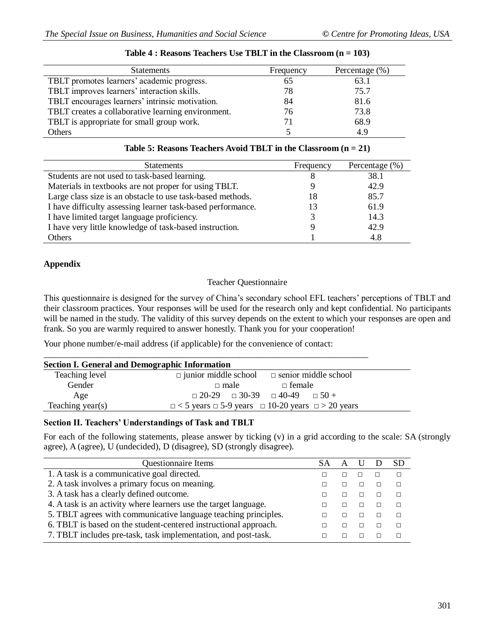| <b>Statements</b>                                  | Frequency | Percentage $(\% )$ |
|----------------------------------------------------|-----------|--------------------|
| TBLT promotes learners' academic progress.         | 65        | 63.1               |
| TBLT improves learners' interaction skills.        | 78        | 75.7               |
| TBLT encourages learners' intrinsic motivation.    | 84        | 81.6               |
| TBLT creates a collaborative learning environment. | 76        | 73.8               |
| TBLT is appropriate for small group work.          | 71        | 68.9               |
| Others                                             |           | 4.9                |

#### **Table 4 : Reasons Teachers Use TBLT in the Classroom (n = 103)**

| Table 5: Reasons Teachers Avoid TBLT in the Classroom $(n = 21)$ |
|------------------------------------------------------------------|
|------------------------------------------------------------------|

| <b>Statements</b>                                           | Frequency | Percentage $(\%)$ |
|-------------------------------------------------------------|-----------|-------------------|
| Students are not used to task-based learning.               |           | 38.1              |
| Materials in textbooks are not proper for using TBLT.       |           | 42.9              |
| Large class size is an obstacle to use task-based methods.  | 18        | 85.7              |
| I have difficulty assessing learner task-based performance. | 13        | 61.9              |
| I have limited target language proficiency.                 |           | 14.3              |
| I have very little knowledge of task-based instruction.     |           | 42.9              |
| <b>Others</b>                                               |           | 4.8               |

#### **Appendix**

### Teacher Questionnaire

This questionnaire is designed for the survey of China's secondary school EFL teachers' perceptions of TBLT and their classroom practices. Your responses will be used for the research only and kept confidential. No participants will be named in the study. The validity of this survey depends on the extent to which your responses are open and frank. So you are warmly required to answer honestly. Thank you for your cooperation!

Your phone number/e-mail address (if applicable) for the convenience of contact:

| <b>Section I. General and Demographic Information</b> |                                                                        |  |
|-------------------------------------------------------|------------------------------------------------------------------------|--|
| Teaching level                                        | $\Box$ junior middle school $\Box$ senior middle school                |  |
| Gender                                                | $\Box$ female<br>$\Box$ male                                           |  |
| Age                                                   | $\Box$ 20-29 $\Box$ 30-39 $\Box$ 40-49 $\Box$ 50 +                     |  |
| Teaching year(s)                                      | $\Box$ < 5 years $\Box$ 5-9 years $\Box$ 10-20 years $\Box$ > 20 years |  |

#### **Section II. Teachers' Understandings of Task and TBLT**

For each of the following statements, please answer by ticking (v) in a grid according to the scale: SA (strongly agree), A (agree), U (undecided), D (disagree), SD (strongly disagree).

| <b>Questionnaire Items</b>                                       |  |  |  |
|------------------------------------------------------------------|--|--|--|
| 1. A task is a communicative goal directed.                      |  |  |  |
| 2. A task involves a primary focus on meaning.                   |  |  |  |
| 3. A task has a clearly defined outcome.                         |  |  |  |
| 4. A task is an activity where learners use the target language. |  |  |  |
| 5. TBLT agrees with communicative language teaching principles.  |  |  |  |
| 6. TBLT is based on the student-centered instructional approach. |  |  |  |
| 7. TBLT includes pre-task, task implementation, and post-task.   |  |  |  |